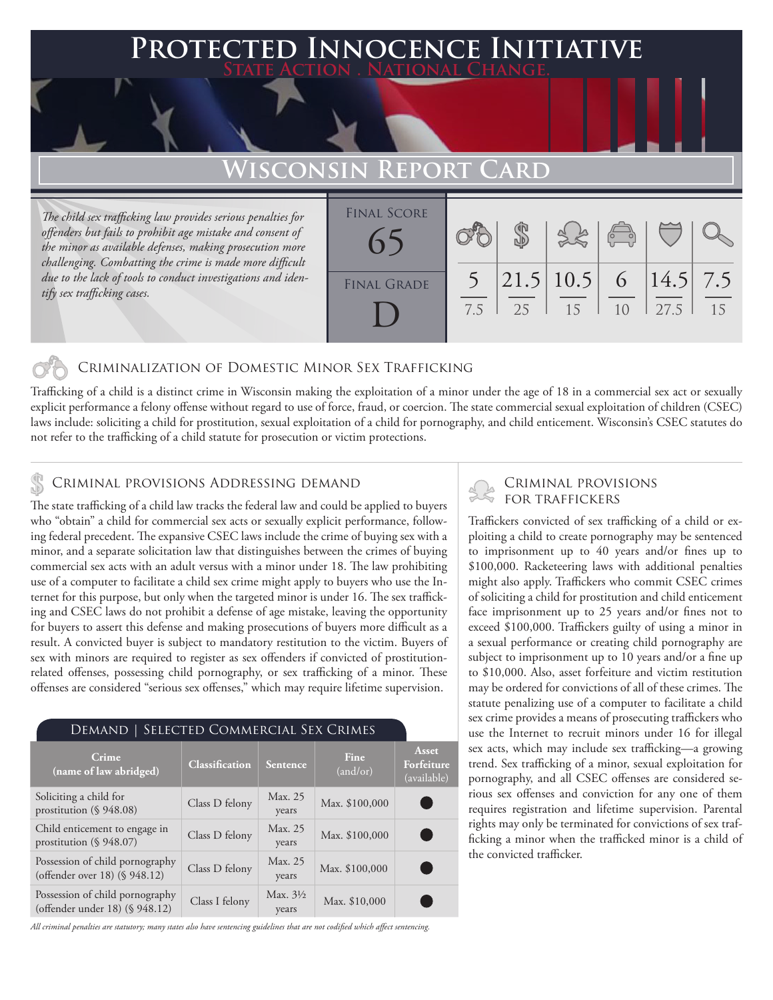### **PTED INNOCENCE INITIATIVE State Action . National Change.**

## **ISCONSIN REPORT**

*The child sex trafficking law provides serious penalties for offenders but fails to prohibit age mistake and consent of the minor as available defenses, making prosecution more challenging. Combatting the crime is made more difficult due to the lack of tools to conduct investigations and identify sex trafficking cases.*

| <b>FINAL SCORE</b> |     |    |                                   | $\begin{pmatrix} 1 & 1 \\ 0 & 1 \end{pmatrix}$ |      |    |
|--------------------|-----|----|-----------------------------------|------------------------------------------------|------|----|
| <b>FINAL GRADE</b> | 7.5 | 25 | $21.5 10.5 $ 6   14.5   7.5<br>15 | 10                                             | 27.5 | 15 |

#### Criminalization of Domestic Minor Sex Trafficking

Trafficking of a child is a distinct crime in Wisconsin making the exploitation of a minor under the age of 18 in a commercial sex act or sexually explicit performance a felony offense without regard to use of force, fraud, or coercion. The state commercial sexual exploitation of children (CSEC) laws include: soliciting a child for prostitution, sexual exploitation of a child for pornography, and child enticement. Wisconsin's CSEC statutes do not refer to the trafficking of a child statute for prosecution or victim protections.

#### Criminal provisions Addressing demand

The state trafficking of a child law tracks the federal law and could be applied to buyers who "obtain" a child for commercial sex acts or sexually explicit performance, following federal precedent. The expansive CSEC laws include the crime of buying sex with a minor, and a separate solicitation law that distinguishes between the crimes of buying commercial sex acts with an adult versus with a minor under 18. The law prohibiting use of a computer to facilitate a child sex crime might apply to buyers who use the Internet for this purpose, but only when the targeted minor is under 16. The sex trafficking and CSEC laws do not prohibit a defense of age mistake, leaving the opportunity for buyers to assert this defense and making prosecutions of buyers more difficult as a result. A convicted buyer is subject to mandatory restitution to the victim. Buyers of sex with minors are required to register as sex offenders if convicted of prostitutionrelated offenses, possessing child pornography, or sex trafficking of a minor. These offenses are considered "serious sex offenses," which may require lifetime supervision.

#### Demand | Selected Commercial Sex Crimes

| Crime<br>(name of law abridged)                                   | <b>Classification</b> | Sentence                     | Fine<br>(and/or) | Asset<br>Forfeiture<br>(available) |
|-------------------------------------------------------------------|-----------------------|------------------------------|------------------|------------------------------------|
| Soliciting a child for<br>prostitution (§ 948.08)                 | Class D felony        | Max. 25<br>years             | Max. \$100,000   |                                    |
| Child enticement to engage in<br>prostitution (§ 948.07)          | Class D felony        | Max. 25<br>years             | Max. \$100,000   |                                    |
| Possession of child pornography<br>(offender over 18) (§ 948.12)  | Class D felony        | Max. 25<br>years             | Max. \$100,000   |                                    |
| Possession of child pornography<br>(offender under 18) (§ 948.12) | Class I felony        | Max. $3\frac{1}{2}$<br>years | Max. \$10,000    |                                    |

*All criminal penalties are statutory; many states also have sentencing guidelines that are not codified which affect sentencing.* 

# Criminal provisions

Traffickers convicted of sex trafficking of a child or exploiting a child to create pornography may be sentenced to imprisonment up to 40 years and/or fines up to \$100,000. Racketeering laws with additional penalties might also apply. Traffickers who commit CSEC crimes of soliciting a child for prostitution and child enticement face imprisonment up to 25 years and/or fines not to exceed \$100,000. Traffickers guilty of using a minor in a sexual performance or creating child pornography are subject to imprisonment up to 10 years and/or a fine up to \$10,000. Also, asset forfeiture and victim restitution may be ordered for convictions of all of these crimes. The statute penalizing use of a computer to facilitate a child sex crime provides a means of prosecuting traffickers who use the Internet to recruit minors under 16 for illegal sex acts, which may include sex trafficking—a growing trend. Sex trafficking of a minor, sexual exploitation for pornography, and all CSEC offenses are considered serious sex offenses and conviction for any one of them requires registration and lifetime supervision. Parental rights may only be terminated for convictions of sex trafficking a minor when the trafficked minor is a child of the convicted trafficker.